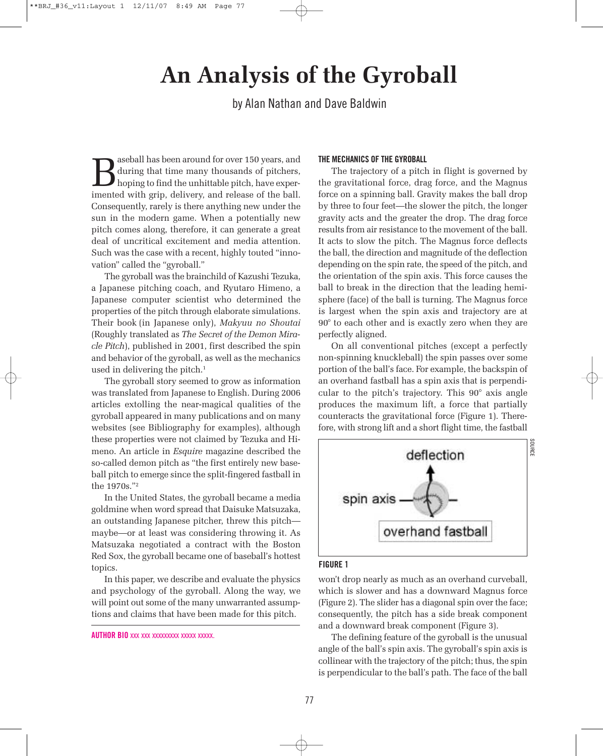# **An Analysis of the Gyroball**

by Alan Nathan and Dave Baldwin

Baseball has been around for over 150 years, and<br>during that time many thousands of pitchers,<br>hoping to find the unhittable pitch, have exper-<br>imented with grip, delivery, and release of the hall during that time many thousands of pitchers, hoping to find the unhittable pitch, have experimented with grip, delivery, and release of the ball. Consequently, rarely is there anything new under the sun in the modern game. When a potentially new pitch comes along, therefore, it can generate a great deal of uncritical excitement and media attention. Such was the case with a recent, highly touted "innovation" called the "gyroball."

The gyroball was the brainchild of Kazushi Tezuka, a Japanese pitching coach, and Ryutaro Himeno, a Japanese computer scientist who determined the properties of the pitch through elaborate simulations. Their book (in Japanese only), *Makyuu no Shoutai* (Roughly translated as *The Secret of the Demon Miracle Pitch*), published in 2001, first described the spin and behavior of the gyroball, as well as the mechanics used in delivering the pitch. 1

The gyroball story seemed to grow as information was translated from Japanese to English. During 2006 articles extolling the near-magical qualities of the gyroball appeared in many publications and on many websites (see Bibliography for examples), although these properties were not claimed by Tezuka and Himeno. An article in *Esquire* magazine described the so-called demon pitch as "the first entirely new baseball pitch to emerge since the split-fingered fastball in the 1970s."2

In the United States, the gyroball became a media goldmine when word spread that Daisuke Matsuzaka, an outstanding Japanese pitcher, threw this pitch maybe—or at least was considering throwing it. As Matsuzaka negotiated a contract with the Boston Red Sox, the gyroball became one of baseball's hottest topics.

In this paper, we describe and evaluate the physics and psychology of the gyroball. Along the way, we will point out some of the many unwarranted assumptions and claims that have been made for this pitch.

**AUTHOR BIO** xxx xxx xxxxxxxxx xxxxx xxxxx.

## **THE MECHANICS OF THE GYROBALL**

The trajectory of a pitch in flight is governed by the gravitational force, drag force, and the Magnus force on a spinning ball. Gravity makes the ball drop by three to four feet—the slower the pitch, the longer gravity acts and the greater the drop. The drag force results from air resistance to the movement of the ball. It acts to slow the pitch. The Magnus force deflects the ball, the direction and magnitude of the deflection depending on the spin rate, the speed of the pitch, and the orientation of the spin axis. This force causes the ball to break in the direction that the leading hemisphere (face) of the ball is turning. The Magnus force is largest when the spin axis and trajectory are at 90° to each other and is exactly zero when they are perfectly aligned.

On all conventional pitches (except a perfectly non-spinning knuckleball) the spin passes over some portion of the ball's face. For example, the backspin of an overhand fastball has a spin axis that is perpendicular to the pitch's trajectory. This 90° axis angle produces the maximum lift, a force that partially counteracts the gravitational force (Figure 1). Therefore, with strong lift and a short flight time, the fastball



### **FIGURE 1**

won't drop nearly as much as an overhand curveball, which is slower and has a downward Magnus force (Figure 2). The slider has a diagonal spin over the face; consequently, the pitch has a side break component and a downward break component (Figure 3).

The defining feature of the gyroball is the unusual angle of the ball's spin axis. The gyroball's spin axis is collinear with the trajectory of the pitch; thus, the spin is perpendicular to the ball's path. The face of the ball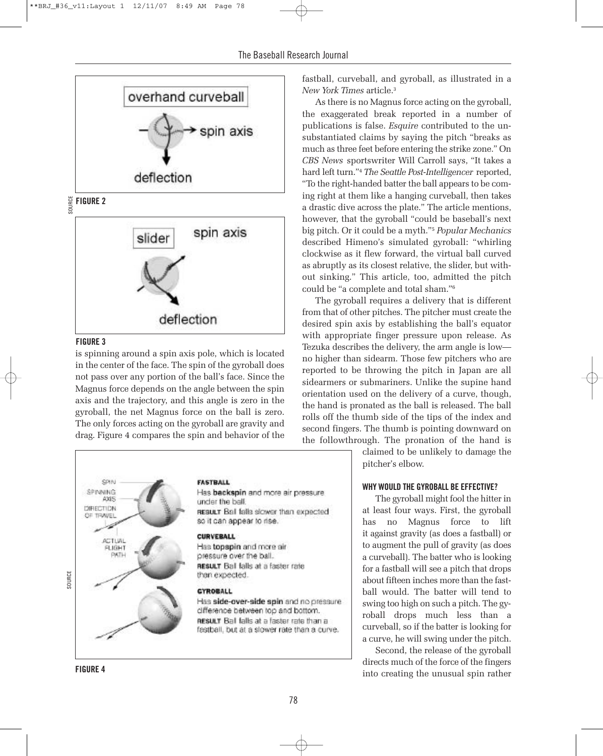

SOURCE **FIGURE <sup>2</sup>**



#### **FIGURE 3**

is spinning around a spin axis pole, which is located in the center of the face. The spin of the gyroball does not pass over any portion of the ball's face. Since the Magnus force depends on the angle between the spin axis and the trajectory, and this angle is zero in the gyroball, the net Magnus force on the ball is zero. The only forces acting on the gyroball are gravity and drag. Figure 4 compares the spin and behavior of the



fastball, curveball, and gyroball, as illustrated in a *New York Times* article. 3

As there is no Magnus force acting on the gyroball, the exaggerated break reported in a number of publications is false. *Esquire* contributed to the unsubstantiated claims by saying the pitch "breaks as much as three feet before entering the strike zone." On *CBS News* sportswriter Will Carroll says, "It takes a hard left turn."4 *The Seattle Post-Intelligencer* reported, "To the right-handed batter the ball appears to be coming right at them like a hanging curveball, then takes a drastic dive across the plate." The article mentions, however, that the gyroball "could be baseball's next big pitch. Or it could be a myth."5 *Popular Mechanics* described Himeno's simulated gyroball: "whirling clockwise as it flew forward, the virtual ball curved as abruptly as its closest relative, the slider, but without sinking." This article, too, admitted the pitch could be "a complete and total sham."6

The gyroball requires a delivery that is different from that of other pitches. The pitcher must create the desired spin axis by establishing the ball's equator with appropriate finger pressure upon release. As Tezuka describes the delivery, the arm angle is low no higher than sidearm. Those few pitchers who are reported to be throwing the pitch in Japan are all sidearmers or submariners. Unlike the supine hand orientation used on the delivery of a curve, though, the hand is pronated as the ball is released. The ball rolls off the thumb side of the tips of the index and second fingers. The thumb is pointing downward on the followthrough. The pronation of the hand is

> claimed to be unlikely to damage the pitcher's elbow.

#### **WHY WOULD THE GYROBALL BE EFFECTIVE?**

The gyroball might fool the hitter in at least four ways. First, the gyroball has no Magnus force to lift it against gravity (as does a fastball) or to augment the pull of gravity (as does a curveball). The batter who is looking for a fastball will see a pitch that drops about fifteen inches more than the fastball would. The batter will tend to swing too high on such a pitch. The gyroball drops much less than a curveball, so if the batter is looking for a curve, he will swing under the pitch.

Second, the release of the gyroball directs much of the force of the fingers into creating the unusual spin rather

**FIGURE 4**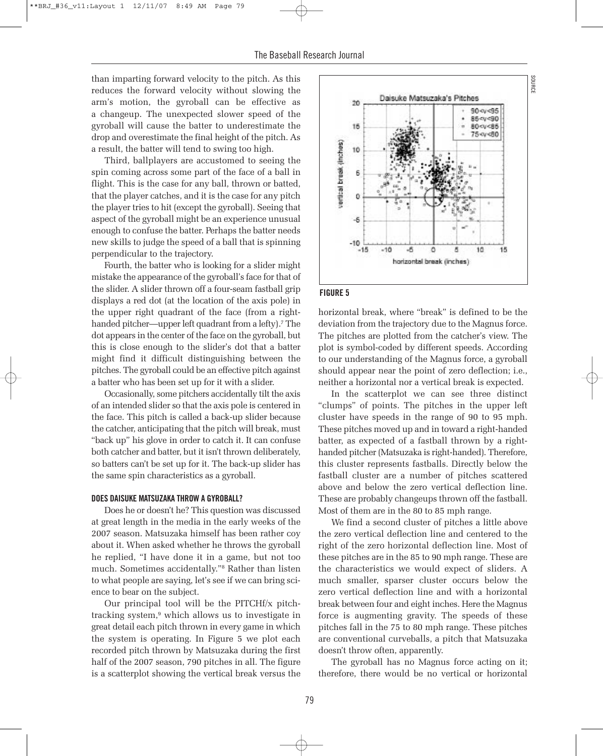than imparting forward velocity to the pitch. As this reduces the forward velocity without slowing the arm's motion, the gyroball can be effective as a changeup. The unexpected slower speed of the gyroball will cause the batter to underestimate the drop and overestimate the final height of the pitch. As a result, the batter will tend to swing too high.

Third, ballplayers are accustomed to seeing the spin coming across some part of the face of a ball in flight. This is the case for any ball, thrown or batted, that the player catches, and it is the case for any pitch the player tries to hit (except the gyroball). Seeing that aspect of the gyroball might be an experience unusual enough to confuse the batter. Perhaps the batter needs new skills to judge the speed of a ball that is spinning perpendicular to the trajectory.

Fourth, the batter who is looking for a slider might mistake the appearance of the gyroball's face forthat of the slider. A slider thrown off a four-seam fastball grip displays a red dot (at the location of the axis pole) in the upper right quadrant of the face (from a righthanded pitcher—upper left quadrant from a lefty).<sup>7</sup> The dot appears in the center of the face on the gyroball, but this is close enough to the slider's dot that a batter might find it difficult distinguishing between the pitches. The gyroball could be an effective pitch against a batter who has been set up for it with a slider.

Occasionally, some pitchers accidentally tilt the axis of an intended slider so that the axis pole is centered in the face. This pitch is called a back-up slider because the catcher, anticipating that the pitch will break, must "back up" his glove in order to catch it. It can confuse both catcher and batter, but it isn't thrown deliberately, so batters can't be set up for it. The back-up slider has the same spin characteristics as a gyroball.

#### **DOES DAISUKE MATSUZAKA THROW A GYROBALL?**

Does he or doesn't he? This question was discussed at great length in the media in the early weeks of the 2007 season. Matsuzaka himself has been rather coy about it. When asked whether he throws the gyroball he replied, "I have done it in a game, but not too much. Sometimes accidentally."8 Rather than listen to what people are saying, let's see if we can bring science to bear on the subject.

Our principal tool will be the PITCHf/x pitchtracking system, <sup>9</sup> which allows us to investigate in great detail each pitch thrown in every game in which the system is operating. In Figure 5 we plot each recorded pitch thrown by Matsuzaka during the first half of the 2007 season, 790 pitches in all. The figure is a scatterplot showing the vertical break versus the



# **FIGURE 5**

horizontal break, where "break" is defined to be the deviation from the trajectory due to the Magnus force. The pitches are plotted from the catcher's view. The plot is symbol-coded by different speeds. According to our understanding of the Magnus force, a gyroball should appear near the point of zero deflection; i.e., neither a horizontal nor a vertical break is expected.

In the scatterplot we can see three distinct "clumps" of points. The pitches in the upper left cluster have speeds in the range of 90 to 95 mph. These pitches moved up and in toward a right-handed batter, as expected of a fastball thrown by a righthanded pitcher(Matsuzaka is right-handed). Therefore, this cluster represents fastballs. Directly below the fastball cluster are a number of pitches scattered above and below the zero vertical deflection line. These are probably changeups thrown off the fastball. Most of them are in the 80 to 85 mph range.

We find a second cluster of pitches a little above the zero vertical deflection line and centered to the right of the zero horizontal deflection line. Most of these pitches are in the 85 to 90 mph range. These are the characteristics we would expect of sliders. A much smaller, sparser cluster occurs below the zero vertical deflection line and with a horizontal break between four and eight inches. Here the Magnus force is augmenting gravity. The speeds of these pitches fall in the 75 to 80 mph range. These pitches are conventional curveballs, a pitch that Matsuzaka doesn't throw often, apparently.

The gyroball has no Magnus force acting on it; therefore, there would be no vertical or horizontal